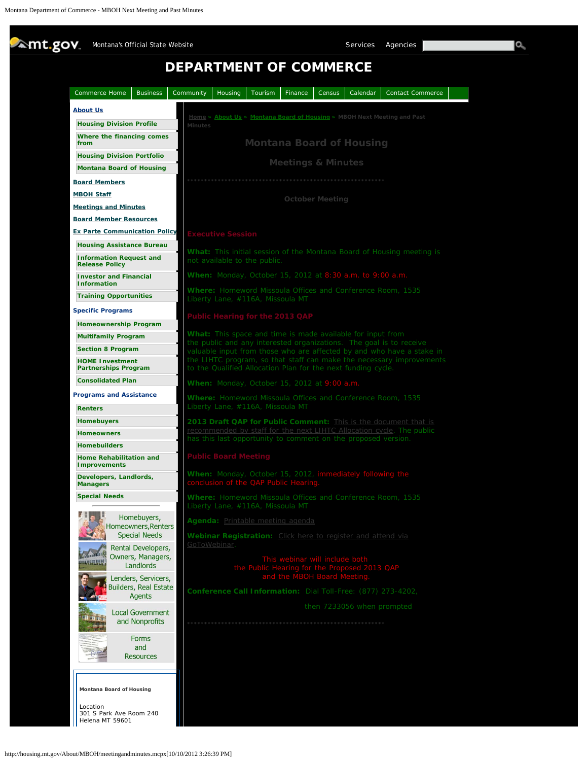<span id="page-0-0"></span>